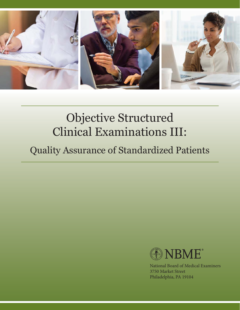

# Objective Structured Clinical Examinations III:

## Quality Assurance of Standardized Patients



National Board of Medical Examiners 3750 Market Street Philadelphia, PA 19104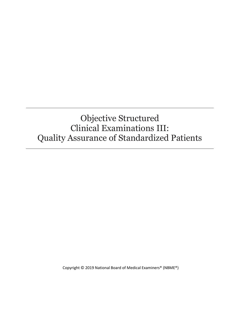### Objective Structured Clinical Examinations III: Quality Assurance of Standardized Patients

Copyright © 2019 National Board of Medical Examiners® (NBME®)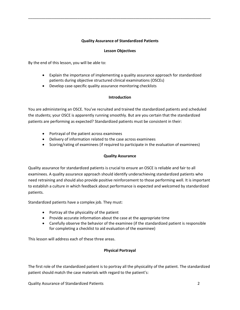#### **Quality Assurance of Standardized Patients**

\_\_\_\_\_\_\_\_\_\_\_\_\_\_\_\_\_\_\_\_\_\_\_\_\_\_\_\_\_\_\_\_\_\_\_\_\_\_\_\_\_\_\_\_\_\_\_\_\_\_\_\_\_\_\_\_\_\_\_\_\_\_\_\_\_\_\_\_\_\_\_\_\_\_\_\_\_\_\_\_\_\_\_\_\_

#### **Lesson Objectives**

By the end of this lesson, you will be able to:

- Explain the importance of implementing a quality assurance approach for standardized patients during objective structured clinical examinations (OSCEs)
- Develop case-specific quality assurance monitoring checklists

#### **Introduction**

You are administering an OSCE. You've recruited and trained the standardized patients and scheduled the students; your OSCE is apparently running smoothly. But are you certain that the standardized patients are performing as expected? Standardized patients must be consistent in their:

- Portrayal of the patient across examinees
- Delivery of information related to the case across examinees
- Scoring/rating of examinees (if required to participate in the evaluation of examinees)

#### **Quality Assurance**

Quality assurance for standardized patients is crucial to ensure an OSCE is reliable and fair to all examinees. A quality assurance approach should identify underachieving standardized patients who need retraining and should also provide positive reinforcement to those performing well. It is important to establish a culture in which feedback about performance is expected and welcomed by standardized patients.

Standardized patients have a complex job. They must:

- Portray all the physicality of the patient
- Provide accurate information about the case at the appropriate time
- Carefully observe the behavior of the examinee (if the standardized patient is responsible for completing a checklist to aid evaluation of the examinee)

This lesson will address each of these three areas.

#### **Physical Portrayal**

The first role of the standardized patient is to portray all the physicality of the patient. The standardized patient should match the case materials with regard to the patient's:

Quality Assurance of Standardized Patients 2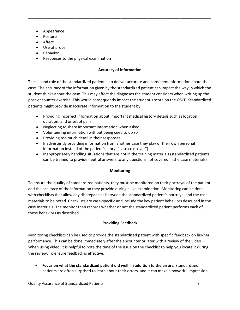- Appearance
- Posture
- Affect
- Use of props
- Behavior
- Responses to the physical examination

#### **Accuracy of Information**

\_\_\_\_\_\_\_\_\_\_\_\_\_\_\_\_\_\_\_\_\_\_\_\_\_\_\_\_\_\_\_\_\_\_\_\_\_\_\_\_\_\_\_\_\_\_\_\_\_\_\_\_\_\_\_\_\_\_\_\_\_\_\_\_\_\_\_\_\_\_\_\_\_\_\_\_\_\_\_\_\_\_\_\_\_

The second role of the standardized patient is to deliver accurate and consistent information about the case. The accuracy of the information given by the standardized patient can impact the way in which the student thinks about the case. This may affect the diagnoses the student considers when writing up the post-encounter exercise. This would consequently impact the student's score on the OSCE. Standardized patients might provide inaccurate information to the student by:

- Providing incorrect information about important medical history details such as location, duration, and onset of pain
- Neglecting to share important information when asked
- Volunteering information without being cued to do so
- Providing too much detail in their responses
- Inadvertently providing information from another case they play or their own personal information instead of the patient's story ("case crossover")
- Inappropriately handling situations that are not in the training materials (standardized patients can be trained to provide neutral answers to any questions not covered in the case materials)

#### **Monitoring**

To ensure the quality of standardized patients, they must be monitored on their portrayal of the patient and the accuracy of the information they provide during a live examination. Monitoring can be done with checklists that allow any discrepancies between the standardized patient's portrayal and the case materials to be noted. Checklists are case-specific and include the key patient behaviors described in the case materials. The monitor then records whether or not the standardized patient performs each of these behaviors as described.

#### **Providing Feedback**

Monitoring checklists can be used to provide the standardized patient with specific feedback on his/her performance. This can be done immediately after the encounter or later with a review of the video. When using video, it is helpful to note the time of the issue on the checklist to help you locate it during the review. To ensure feedback is effective:

 **Focus on what the standardized patient did well, in addition to the errors.** Standardized patients are often surprised to learn about their errors, and it can make a powerful impression.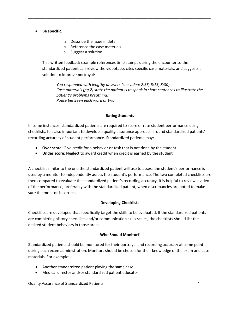#### **Be specific.**

- o Describe the issue in detail.
- o Reference the case materials.
- o Suggest a solution.

This written feedback example references time stamps during the encounter so the standardized patient can review the videotape, cites specific case materials, and suggests a solution to improve portrayal*:*

\_\_\_\_\_\_\_\_\_\_\_\_\_\_\_\_\_\_\_\_\_\_\_\_\_\_\_\_\_\_\_\_\_\_\_\_\_\_\_\_\_\_\_\_\_\_\_\_\_\_\_\_\_\_\_\_\_\_\_\_\_\_\_\_\_\_\_\_\_\_\_\_\_\_\_\_\_\_\_\_\_\_\_\_\_

*You responded with lengthy answers (see video: 2:35, 5:15, 8:00). Case materials (pg 2) state the patient is to speak in short sentences to illustrate the patient's problems breathing. Pause between each word or two*

#### **Rating Students**

In some instances, standardized patients are required to score or rate student performance using checklists. It is also important to develop a quality assurance approach around standardized patients' recording accuracy of student performance. Standardized patients may:

- **Over score**: Give credit for a behavior or task that is not done by the student
- **Under score**: Neglect to award credit when credit is earned by the student

A checklist similar to the one the standardized patient will use to assess the student's performance is used by a monitor to independently assess the student's performance. The two completed checklists are then compared to evaluate the standardized patient's recording accuracy. It is helpful to review a video of the performance, preferably with the standardized patient, when discrepancies are noted to make sure the monitor is correct.

#### **Developing Checklists**

Checklists are developed that specifically target the skills to be evaluated. If the standardized patients are completing history checklists and/or communication skills scales, the checklists should list the desired student behaviors in those areas.

#### **Who Should Monitor?**

Standardized patients should be monitored for their portrayal and recording accuracy at some point during each exam administration. Monitors should be chosen for their knowledge of the exam and case materials. For example:

- Another standardized patient playing the same case
- Medical director and/or standardized patient educator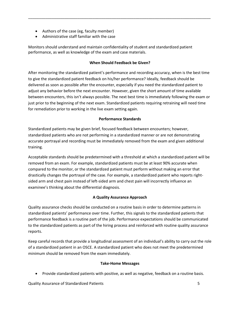- Authors of the case (eg, faculty member)
- Administrative staff familiar with the case

Monitors should understand and maintain confidentiality of student and standardized patient performance, as well as knowledge of the exam and case materials.

#### **When Should Feedback be Given?**

\_\_\_\_\_\_\_\_\_\_\_\_\_\_\_\_\_\_\_\_\_\_\_\_\_\_\_\_\_\_\_\_\_\_\_\_\_\_\_\_\_\_\_\_\_\_\_\_\_\_\_\_\_\_\_\_\_\_\_\_\_\_\_\_\_\_\_\_\_\_\_\_\_\_\_\_\_\_\_\_\_\_\_\_\_

After monitoring the standardized patient's performance and recording accuracy, when is the best time to give the standardized patient feedback on his/her performance? Ideally, feedback should be delivered as soon as possible after the encounter, especially if you need the standardized patient to adjust any behavior before the next encounter. However, given the short amount of time available between encounters, this isn't always possible. The next best time is immediately following the exam or just prior to the beginning of the next exam. Standardized patients requiring retraining will need time for remediation prior to working in the live exam setting again.

#### **Performance Standards**

Standardized patients may be given brief, focused feedback between encounters; however, standardized patients who are not performing in a standardized manner or are not demonstrating accurate portrayal and recording must be immediately removed from the exam and given additional training.

Acceptable standards should be predetermined with a threshold at which a standardized patient will be removed from an exam. For example, standardized patients must be at least 90% accurate when compared to the monitor, or the standardized patient must perform without making an error that drastically changes the portrayal of the case. For example, a standardized patient who reports rightsided arm and chest pain instead of left-sided arm and chest pain will incorrectly influence an examinee's thinking about the differential diagnosis.

#### **A Quality Assurance Approach**

Quality assurance checks should be conducted on a routine basis in order to determine patterns in standardized patients' performance over time. Further, this signals to the standardized patients that performance feedback is a routine part of the job. Performance expectations should be communicated to the standardized patients as part of the hiring process and reinforced with routine quality assurance reports.

Keep careful records that provide a longitudinal assessment of an individual's ability to carry out the role of a standardized patient in an OSCE. A standardized patient who does not meet the predetermined minimum should be removed from the exam immediately.

#### **Take-Home Messages**

Provide standardized patients with positive, as well as negative, feedback on a routine basis.

Quality Assurance of Standardized Patients 5